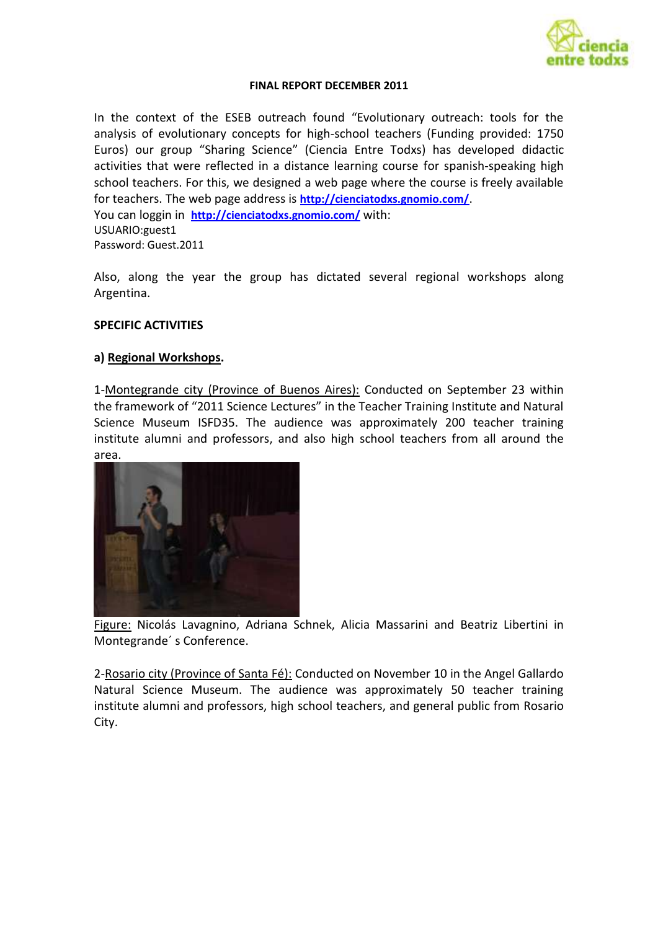

#### **FINAL REPORT DECEMBER 2011**

In the context of the ESEB outreach found "Evolutionary outreach: tools for the analysis of evolutionary concepts for high-school teachers (Funding provided: 1750 Euros) our group "Sharing Science" (Ciencia Entre Todxs) has developed didactic activities that were reflected in a distance learning course for spanish-speaking high school teachers. For this, we designed a web page where the course is freely available for teachers. The web page address is **<http://cienciatodxs.gnomio.com/>**. You can loggin in **<http://cienciatodxs.gnomio.com/>** with: USUARIO:guest1 Password: Guest.2011

Also, along the year the group has dictated several regional workshops along Argentina.

#### **SPECIFIC ACTIVITIES**

#### **a) Regional Workshops.**

1-Montegrande city (Province of Buenos Aires): Conducted on September 23 within the framework of "2011 Science Lectures" in the Teacher Training Institute and Natural Science Museum ISFD35. The audience was approximately 200 teacher training institute alumni and professors, and also high school teachers from all around the area.



Figure: Nicolás Lavagnino, Adriana Schnek, Alicia Massarini and Beatriz Libertini in Montegrande´ s Conference.

2-Rosario city (Province of Santa Fé): Conducted on November 10 in the Angel Gallardo Natural Science Museum. The audience was approximately 50 teacher training institute alumni and professors, high school teachers, and general public from Rosario City.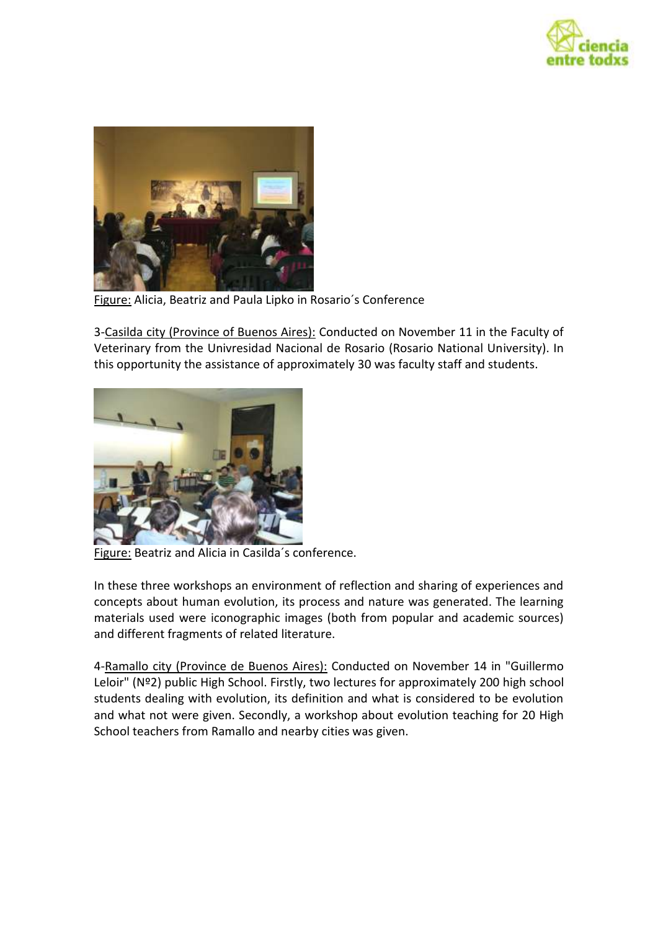



Figure: Alicia, Beatriz and Paula Lipko in Rosario´s Conference

3-Casilda city (Province of Buenos Aires): Conducted on November 11 in the Faculty of Veterinary from the Univresidad Nacional de Rosario (Rosario National University). In this opportunity the assistance of approximately 30 was faculty staff and students.



Figure: Beatriz and Alicia in Casilda´s conference.

In these three workshops an environment of reflection and sharing of experiences and concepts about human evolution, its process and nature was generated. The learning materials used were iconographic images (both from popular and academic sources) and different fragments of related literature.

4-Ramallo city (Province de Buenos Aires): Conducted on November 14 in "Guillermo Leloir" (Nº2) public High School. Firstly, two lectures for approximately 200 high school students dealing with evolution, its definition and what is considered to be evolution and what not were given. Secondly, a workshop about evolution teaching for 20 High School teachers from Ramallo and nearby cities was given.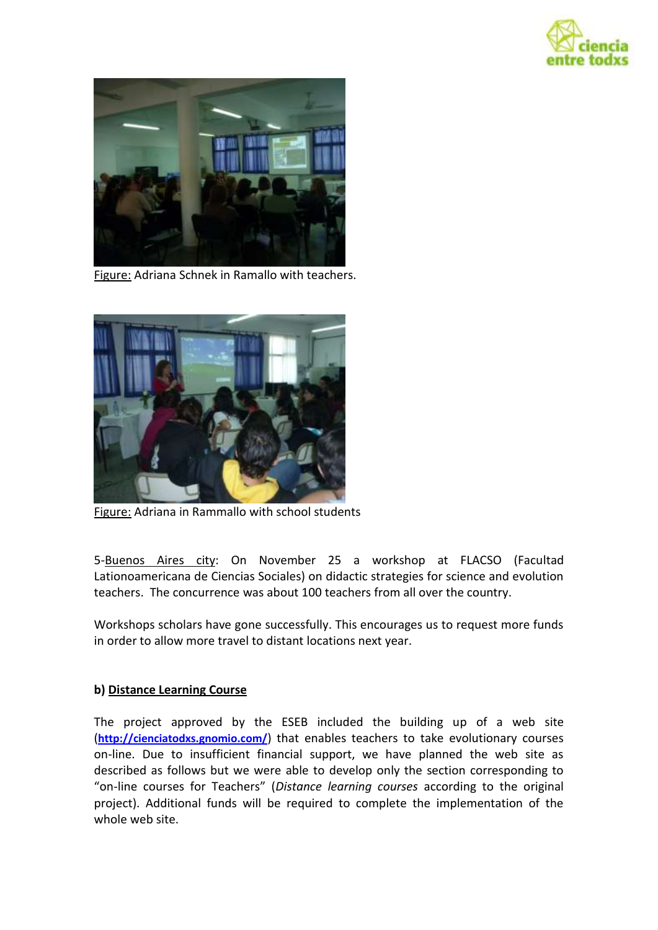



Figure: Adriana Schnek in Ramallo with teachers.



Figure: Adriana in Rammallo with school students

5-Buenos Aires city: On November 25 a workshop at FLACSO (Facultad Lationoamericana de Ciencias Sociales) on didactic strategies for science and evolution teachers. The concurrence was about 100 teachers from all over the country.

Workshops scholars have gone successfully. This encourages us to request more funds in order to allow more travel to distant locations next year.

#### **b) Distance Learning Course**

The project approved by the ESEB included the building up of a web site (**<http://cienciatodxs.gnomio.com/>**) that enables teachers to take evolutionary courses on-line. Due to insufficient financial support, we have planned the web site as described as follows but we were able to develop only the section corresponding to "on-line courses for Teachers" (*Distance learning courses* according to the original project). Additional funds will be required to complete the implementation of the whole web site.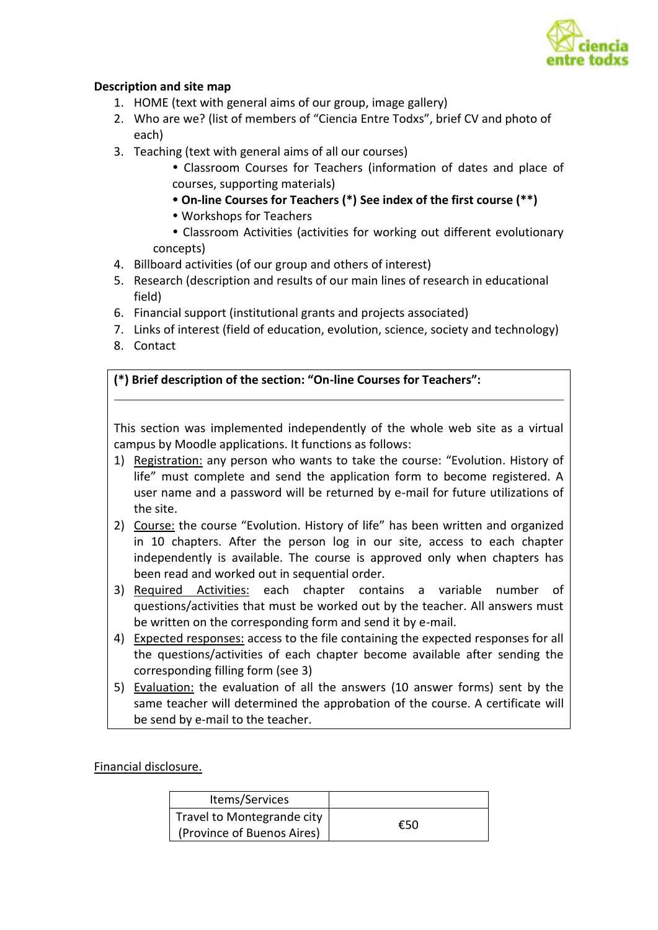

#### **Description and site map**

- 1. HOME (text with general aims of our group, image gallery)
- 2. Who are we? (list of members of "Ciencia Entre Todxs", brief CV and photo of each)
- 3. Teaching (text with general aims of all our courses)
	- Classroom Courses for Teachers (information of dates and place of courses, supporting materials)
	- **On-line Courses for Teachers (\*) See index of the first course (\*\*)**
	- Workshops for Teachers

 Classroom Activities (activities for working out different evolutionary concepts)

- 4. Billboard activities (of our group and others of interest)
- 5. Research (description and results of our main lines of research in educational field)
- 6. Financial support (institutional grants and projects associated)
- 7. Links of interest (field of education, evolution, science, society and technology)
- 8. Contact

#### **(\*) Brief description of the section: "On-line Courses for Teachers":**

This section was implemented independently of the whole web site as a virtual campus by Moodle applications. It functions as follows:

- 1) Registration: any person who wants to take the course: "Evolution. History of life" must complete and send the application form to become registered. A user name and a password will be returned by e-mail for future utilizations of the site.
- 2) Course: the course "Evolution. History of life" has been written and organized in 10 chapters. After the person log in our site, access to each chapter independently is available. The course is approved only when chapters has been read and worked out in sequential order.
- 3) Required Activities: each chapter contains a variable number of questions/activities that must be worked out by the teacher. All answers must be written on the corresponding form and send it by e-mail.
- 4) Expected responses: access to the file containing the expected responses for all the questions/activities of each chapter become available after sending the corresponding filling form (see 3)
- 5) Evaluation: the evaluation of all the answers (10 answer forms) sent by the same teacher will determined the approbation of the course. A certificate will be send by e-mail to the teacher.

Financial disclosure.

| Items/Services             |     |
|----------------------------|-----|
| Travel to Montegrande city | €50 |
| (Province of Buenos Aires) |     |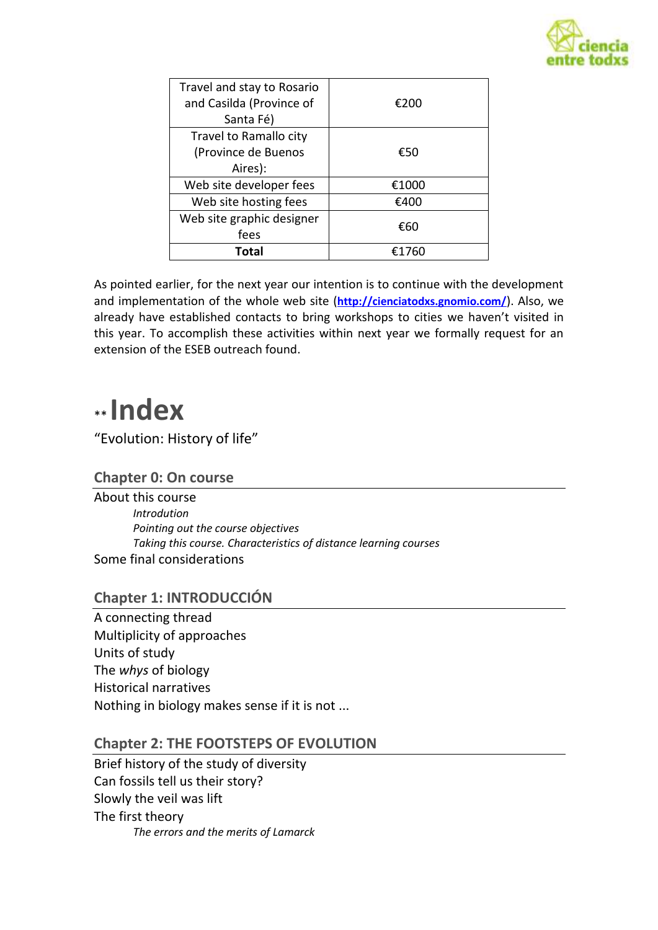

| Travel and stay to Rosario<br>and Casilda (Province of | €200  |
|--------------------------------------------------------|-------|
| Santa Fé)                                              |       |
| Travel to Ramallo city                                 |       |
| (Province de Buenos                                    | €50   |
| Aires):                                                |       |
| Web site developer fees                                | €1000 |
| Web site hosting fees                                  | €400  |
| Web site graphic designer                              | €60   |
| fees                                                   |       |
| <b>Total</b>                                           | £1760 |

As pointed earlier, for the next year our intention is to continue with the development and implementation of the whole web site (**<http://cienciatodxs.gnomio.com/>**). Also, we already have established contacts to bring workshops to cities we haven't visited in this year. To accomplish these activities within next year we formally request for an extension of the ESEB outreach found.

# \*\* **Index**

"Evolution: History of life"

## **Chapter 0: On course**

About this course *Introdution Pointing out the course objectives Taking this course. Characteristics of distance learning courses* Some final considerations

# **Chapter 1: INTRODUCCIÓN**

A connecting thread Multiplicity of approaches Units of study The *whys* of biology Historical narratives Nothing in biology makes sense if it is not ...

## **Chapter 2: THE FOOTSTEPS OF EVOLUTION**

Brief history of the study of diversity Can fossils tell us their story? Slowly the veil was lift The first theory *The errors and the merits of Lamarck*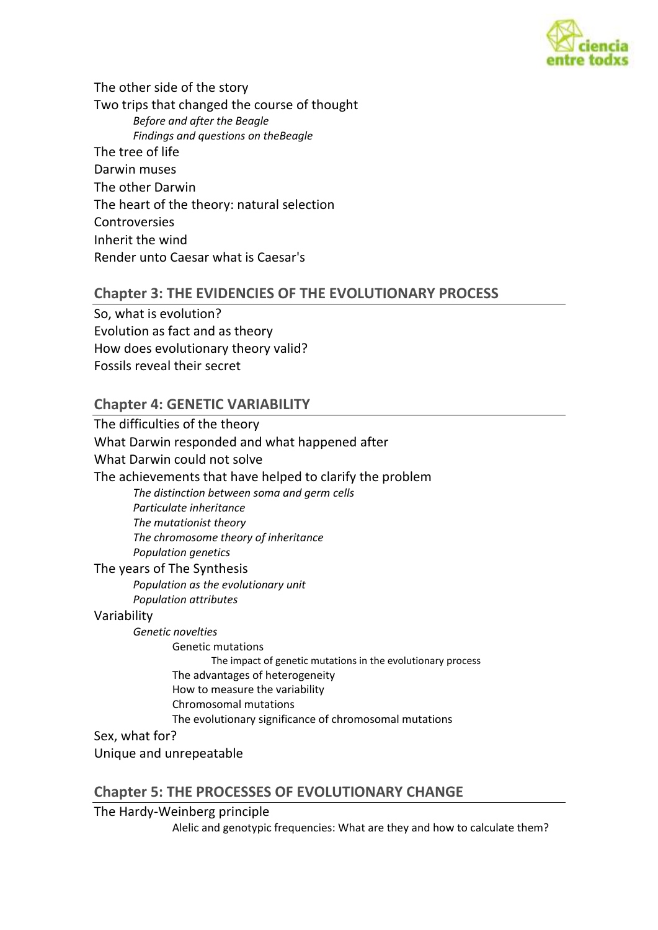

The other side of the story Two trips that changed the course of thought *Before and after the Beagle Findings and questions on theBeagle* The tree of life Darwin muses The other Darwin The heart of the theory: natural selection **Controversies** Inherit the wind Render unto Caesar what is Caesar's

#### **Chapter 3: THE EVIDENCIES OF THE EVOLUTIONARY PROCESS**

So, what is evolution? Evolution as fact and as theory How does evolutionary theory valid? Fossils reveal their secret

#### **Chapter 4: GENETIC VARIABILITY**

The difficulties of the theory What Darwin responded and what happened after What Darwin could not solve The achievements that have helped to clarify the problem *The distinction between soma and germ cells Particulate inheritance The mutationist theory The chromosome theory of inheritance Population genetics* The years of The Synthesis *Population as the evolutionary unit Population attributes* Variability *Genetic novelties* Genetic mutations The impact of genetic mutations in the evolutionary process The advantages of heterogeneity How to measure the variability Chromosomal mutations The evolutionary significance of chromosomal mutations Sex, what for?

Unique and unrepeatable

#### **Chapter 5: THE PROCESSES OF EVOLUTIONARY CHANGE**

The Hardy-Weinberg principle

Alelic and genotypic frequencies: What are they and how to calculate them?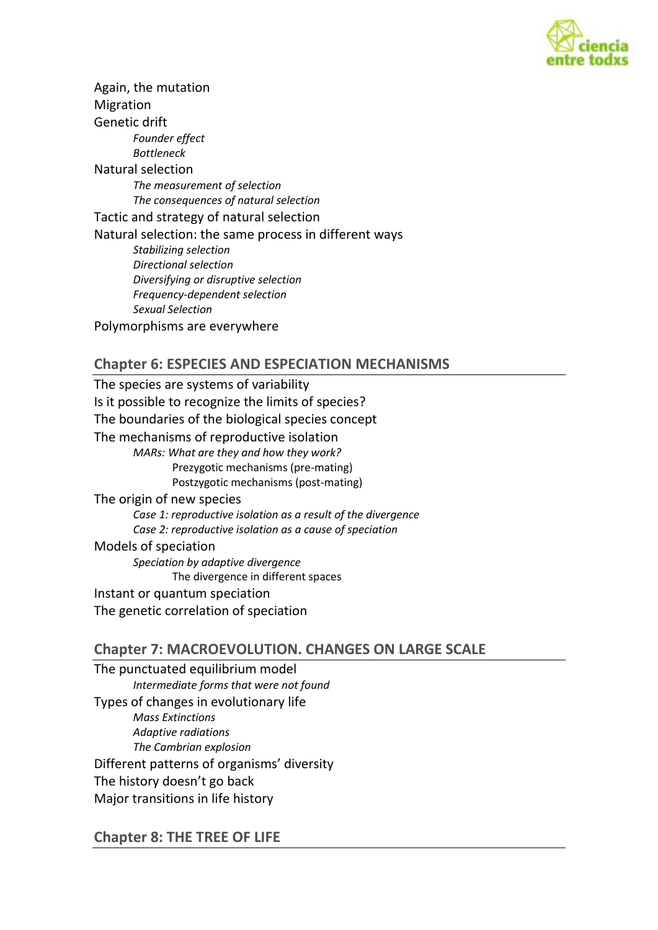

Again, the mutation Migration Genetic drift *Founder effect Bottleneck* Natural selection *The measurement of selection The consequences of natural selection* Tactic and strategy of natural selection Natural selection: the same process in different ways *Stabilizing selection Directional selection Diversifying or disruptive selection Frequency-dependent selection Sexual Selection* Polymorphisms are everywhere

## **Chapter 6: ESPECIES AND ESPECIATION MECHANISMS**

The species are systems of variability Is it possible to recognize the limits of species? The boundaries of the biological species concept The mechanisms of reproductive isolation *MARs: What are they and how they work?* Prezygotic mechanisms (pre-mating) Postzygotic mechanisms (post-mating) The origin of new species *Case 1: reproductive isolation as a result of the divergence Case 2: reproductive isolation as a cause of speciation* Models of speciation *Speciation by adaptive divergence* The divergence in different spaces Instant or quantum speciation The genetic correlation of speciation

## **Chapter 7: MACROEVOLUTION. CHANGES ON LARGE SCALE**

The punctuated equilibrium model *Intermediate forms that were not found* Types of changes in evolutionary life *Mass Extinctions Adaptive radiations The Cambrian explosion* Different patterns of organisms' diversity The history doesn't go back Major transitions in life history

## **Chapter 8: THE TREE OF LIFE**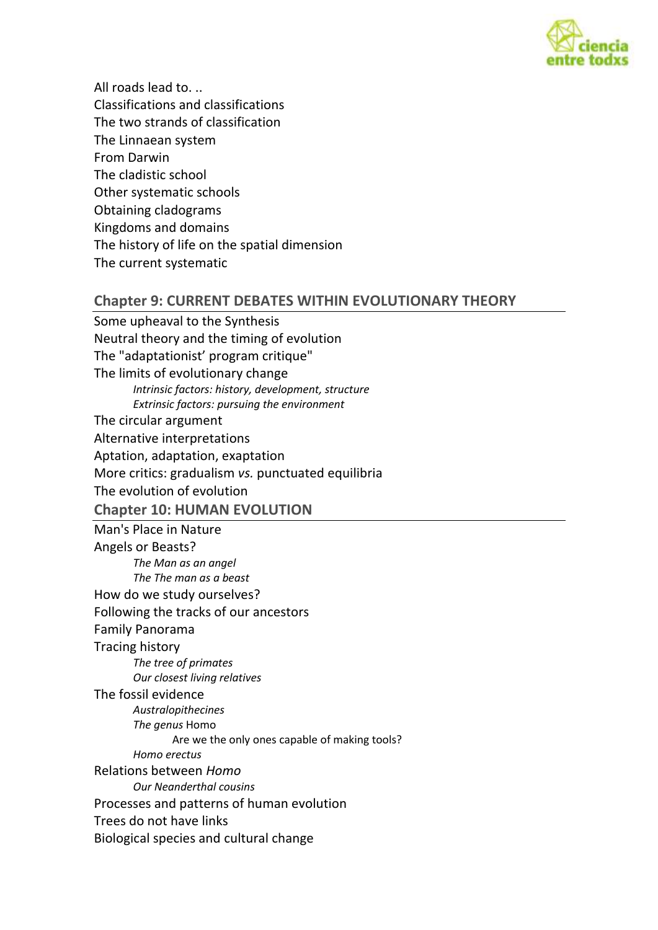

All roads lead to. .. Classifications and classifications The two strands of classification The Linnaean system From Darwin The cladistic school Other systematic schools Obtaining cladograms Kingdoms and domains The history of life on the spatial dimension The current systematic

#### **Chapter 9: CURRENT DEBATES WITHIN EVOLUTIONARY THEORY**

Some upheaval to the Synthesis Neutral theory and the timing of evolution The "adaptationist' program critique" The limits of evolutionary change *Intrinsic factors: history, development, structure Extrinsic factors: pursuing the environment* The circular argument Alternative interpretations Aptation, adaptation, exaptation More critics: gradualism *vs.* punctuated equilibria The evolution of evolution **Chapter 10: HUMAN EVOLUTION** Man's Place in Nature Angels or Beasts? *The Man as an angel The The man as a beast* How do we study ourselves? Following the tracks of our ancestors Family Panorama Tracing history *The tree of primates Our closest living relatives* The fossil evidence *Australopithecines The genus* Homo Are we the only ones capable of making tools? *Homo erectus* Relations between *Homo Our Neanderthal cousins* Processes and patterns of human evolution Trees do not have links Biological species and cultural change